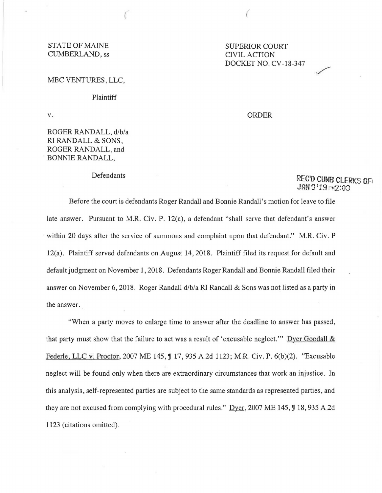### STATE OF MAINE<br>
CUMBERLAND, ss<br>
CIVIL ACTION CUMBERLAND, ss

#### MBC VENTURES, LLC,

#### Plaintiff

v.

## ROGER RANDALL, d/b/a RI RANDALL & SONS, ROGER RANDALL, and BONNIE RANDALL,

#### Defendants

# DOCKET NO. CV-18-347

ORDER

# REC'D GUMB CLERKS OF1 JAN 9 '19 PH2:03

./

Before the court is defendants Roger Randall and Bonnie Randall's motion for leave to file late answer. Pursuant to M.R. Civ. P. 12(a), a defendant "shall serve that defendant's answer within 20 days after the service of summons and complaint upon that defendant." M.R. Civ. P 12(a). Plaintiff served defendants on August 14, 2018. Plaintiff filed its request for default and default judgment on November 1, 2018. Defendants Roger Randall and Bonnie Randall filed their answer on November 6, 2018. Roger Randall d/b/a RI Randall & Sons was not listed as a party in the answer.

"When a party moves to enlarge time to answer after the deadline to answer has passed, that party must show that the failure to act was a result of 'excusable neglect.'" Dyer Goodall & Federle, LLC v. Proctor, 2007 ME 145, ¶ 17, 935 A.2d 1123; M.R. Civ. P. 6(b)(2). "Excusable neglect will be found only when there are extraordinary circumstances that work an injustice. In this analysis, self-represented parties are subject to the same standards as represented parties, and they are not excused from complying with procedural rules." Dyer, 2007 ME 145,  $\int$  18,935 A.2d 1123 (citations omitted).